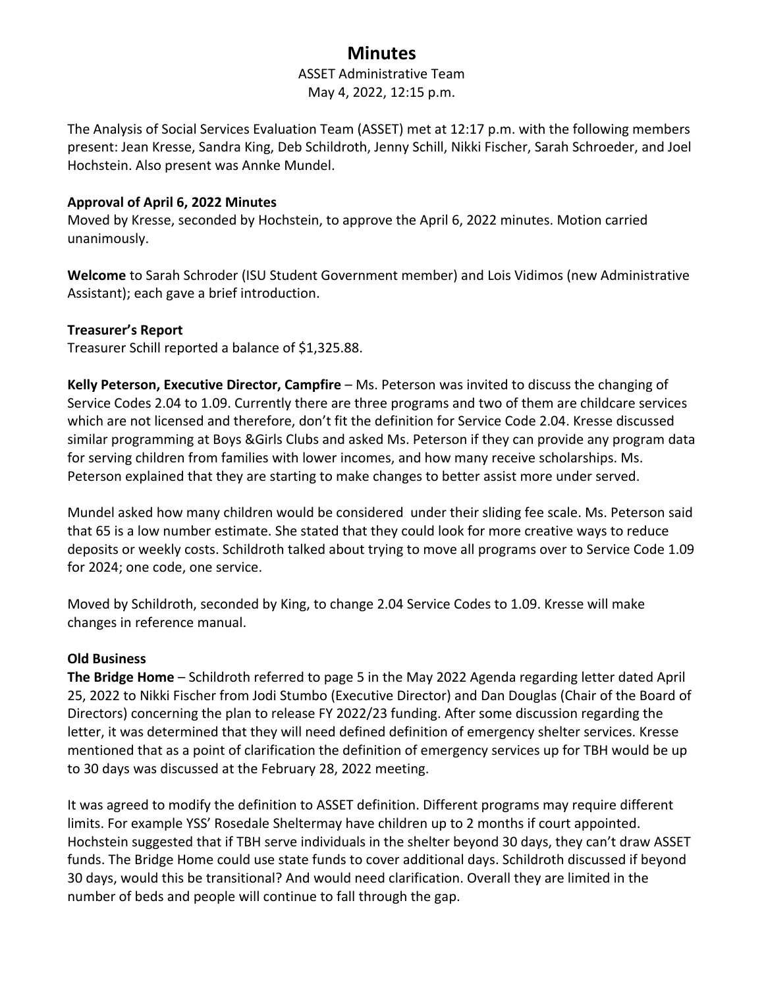# **Minutes**

# ASSET Administrative Team May 4, 2022, 12:15 p.m.

The Analysis of Social Services Evaluation Team (ASSET) met at 12:17 p.m. with the following members present: Jean Kresse, Sandra King, Deb Schildroth, Jenny Schill, Nikki Fischer, Sarah Schroeder, and Joel Hochstein. Also present was Annke Mundel.

# **Approval of April 6, 2022 Minutes**

Moved by Kresse, seconded by Hochstein, to approve the April 6, 2022 minutes. Motion carried unanimously.

**Welcome** to Sarah Schroder (ISU Student Government member) and Lois Vidimos (new Administrative Assistant); each gave a brief introduction.

### **Treasurer's Report**

Treasurer Schill reported a balance of \$1,325.88.

**Kelly Peterson, Executive Director, Campfire** – Ms. Peterson was invited to discuss the changing of Service Codes 2.04 to 1.09. Currently there are three programs and two of them are childcare services which are not licensed and therefore, don't fit the definition for Service Code 2.04. Kresse discussed similar programming at Boys &Girls Clubs and asked Ms. Peterson if they can provide any program data for serving children from families with lower incomes, and how many receive scholarships. Ms. Peterson explained that they are starting to make changes to better assist more under served.

Mundel asked how many children would be considered under their sliding fee scale. Ms. Peterson said that 65 is a low number estimate. She stated that they could look for more creative ways to reduce deposits or weekly costs. Schildroth talked about trying to move all programs over to Service Code 1.09 for 2024; one code, one service.

Moved by Schildroth, seconded by King, to change 2.04 Service Codes to 1.09. Kresse will make changes in reference manual.

# **Old Business**

**The Bridge Home** – Schildroth referred to page 5 in the May 2022 Agenda regarding letter dated April 25, 2022 to Nikki Fischer from Jodi Stumbo (Executive Director) and Dan Douglas (Chair of the Board of Directors) concerning the plan to release FY 2022/23 funding. After some discussion regarding the letter, it was determined that they will need defined definition of emergency shelter services. Kresse mentioned that as a point of clarification the definition of emergency services up for TBH would be up to 30 days was discussed at the February 28, 2022 meeting.

It was agreed to modify the definition to ASSET definition. Different programs may require different limits. For example YSS' Rosedale Sheltermay have children up to 2 months if court appointed. Hochstein suggested that if TBH serve individuals in the shelter beyond 30 days, they can't draw ASSET funds. The Bridge Home could use state funds to cover additional days. Schildroth discussed if beyond 30 days, would this be transitional? And would need clarification. Overall they are limited in the number of beds and people will continue to fall through the gap.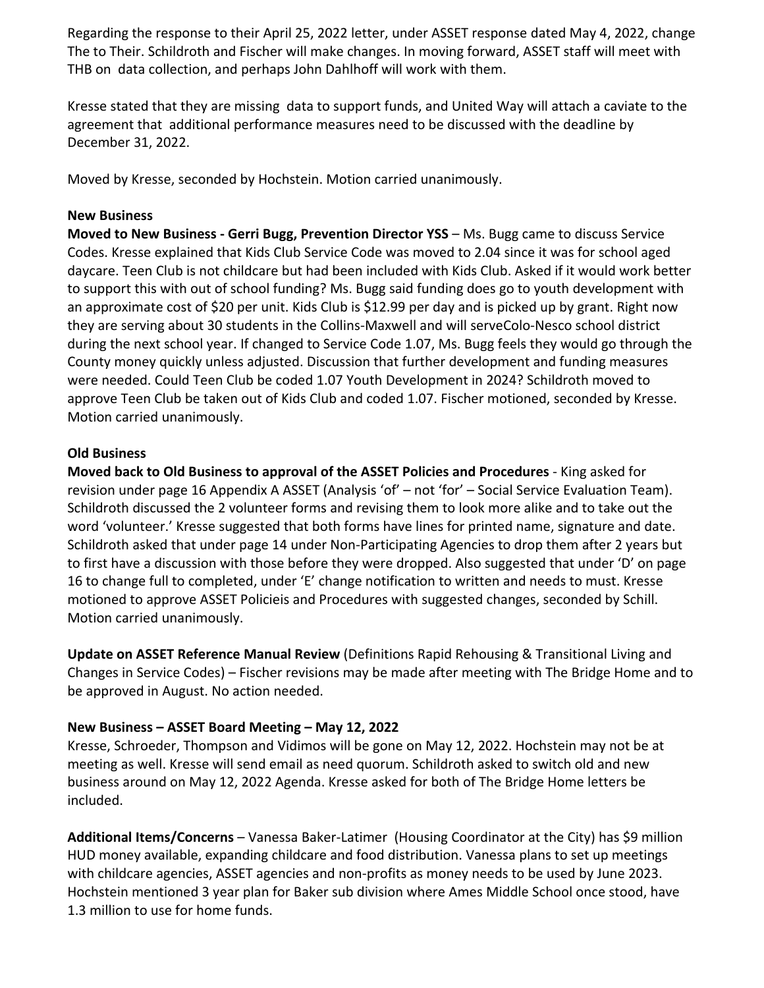Regarding the response to their April 25, 2022 letter, under ASSET response dated May 4, 2022, change The to Their. Schildroth and Fischer will make changes. In moving forward, ASSET staff will meet with THB on data collection, and perhaps John Dahlhoff will work with them.

Kresse stated that they are missing data to support funds, and United Way will attach a caviate to the agreement that additional performance measures need to be discussed with the deadline by December 31, 2022.

Moved by Kresse, seconded by Hochstein. Motion carried unanimously.

#### **New Business**

**Moved to New Business - Gerri Bugg, Prevention Director YSS** – Ms. Bugg came to discuss Service Codes. Kresse explained that Kids Club Service Code was moved to 2.04 since it was for school aged daycare. Teen Club is not childcare but had been included with Kids Club. Asked if it would work better to support this with out of school funding? Ms. Bugg said funding does go to youth development with an approximate cost of \$20 per unit. Kids Club is \$12.99 per day and is picked up by grant. Right now they are serving about 30 students in the Collins-Maxwell and will serveColo-Nesco school district during the next school year. If changed to Service Code 1.07, Ms. Bugg feels they would go through the County money quickly unless adjusted. Discussion that further development and funding measures were needed. Could Teen Club be coded 1.07 Youth Development in 2024? Schildroth moved to approve Teen Club be taken out of Kids Club and coded 1.07. Fischer motioned, seconded by Kresse. Motion carried unanimously.

### **Old Business**

**Moved back to Old Business to approval of the ASSET Policies and Procedures** - King asked for revision under page 16 Appendix A ASSET (Analysis 'of' – not 'for' – Social Service Evaluation Team). Schildroth discussed the 2 volunteer forms and revising them to look more alike and to take out the word 'volunteer.' Kresse suggested that both forms have lines for printed name, signature and date. Schildroth asked that under page 14 under Non-Participating Agencies to drop them after 2 years but to first have a discussion with those before they were dropped. Also suggested that under 'D' on page 16 to change full to completed, under 'E' change notification to written and needs to must. Kresse motioned to approve ASSET Policieis and Procedures with suggested changes, seconded by Schill. Motion carried unanimously.

**Update on ASSET Reference Manual Review** (Definitions Rapid Rehousing & Transitional Living and Changes in Service Codes) – Fischer revisions may be made after meeting with The Bridge Home and to be approved in August. No action needed.

# **New Business – ASSET Board Meeting – May 12, 2022**

Kresse, Schroeder, Thompson and Vidimos will be gone on May 12, 2022. Hochstein may not be at meeting as well. Kresse will send email as need quorum. Schildroth asked to switch old and new business around on May 12, 2022 Agenda. Kresse asked for both of The Bridge Home letters be included.

**Additional Items/Concerns** – Vanessa Baker-Latimer (Housing Coordinator at the City) has \$9 million HUD money available, expanding childcare and food distribution. Vanessa plans to set up meetings with childcare agencies, ASSET agencies and non-profits as money needs to be used by June 2023. Hochstein mentioned 3 year plan for Baker sub division where Ames Middle School once stood, have 1.3 million to use for home funds.